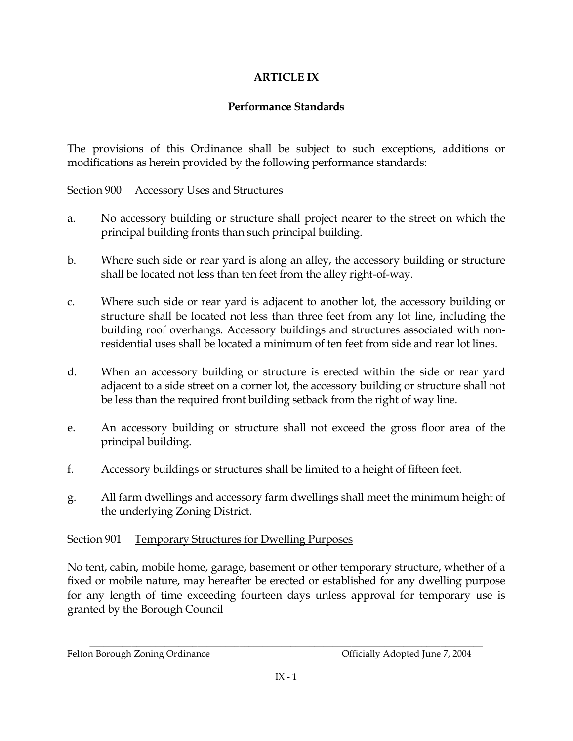# **ARTICLE IX**

## **Performance Standards**

The provisions of this Ordinance shall be subject to such exceptions, additions or modifications as herein provided by the following performance standards:

Section 900 **Accessory Uses and Structures** 

- No accessory building or structure shall project nearer to the street on which the  $a<sub>r</sub>$ principal building fronts than such principal building.
- $\mathbf{b}$ . Where such side or rear yard is along an alley, the accessory building or structure shall be located not less than ten feet from the alley right-of-way.
- $\mathsf{C}$ . Where such side or rear yard is adjacent to another lot, the accessory building or structure shall be located not less than three feet from any lot line, including the building roof overhangs. Accessory buildings and structures associated with nonresidential uses shall be located a minimum of ten feet from side and rear lot lines.
- $d_{\cdot}$ When an accessory building or structure is erected within the side or rear yard adjacent to a side street on a corner lot, the accessory building or structure shall not be less than the required front building setback from the right of way line.
- An accessory building or structure shall not exceed the gross floor area of the e. principal building.
- f. Accessory buildings or structures shall be limited to a height of fifteen feet.
- All farm dwellings and accessory farm dwellings shall meet the minimum height of g. the underlying Zoning District.

#### Section 901 **Temporary Structures for Dwelling Purposes**

No tent, cabin, mobile home, garage, basement or other temporary structure, whether of a fixed or mobile nature, may hereafter be erected or established for any dwelling purpose for any length of time exceeding fourteen days unless approval for temporary use is granted by the Borough Council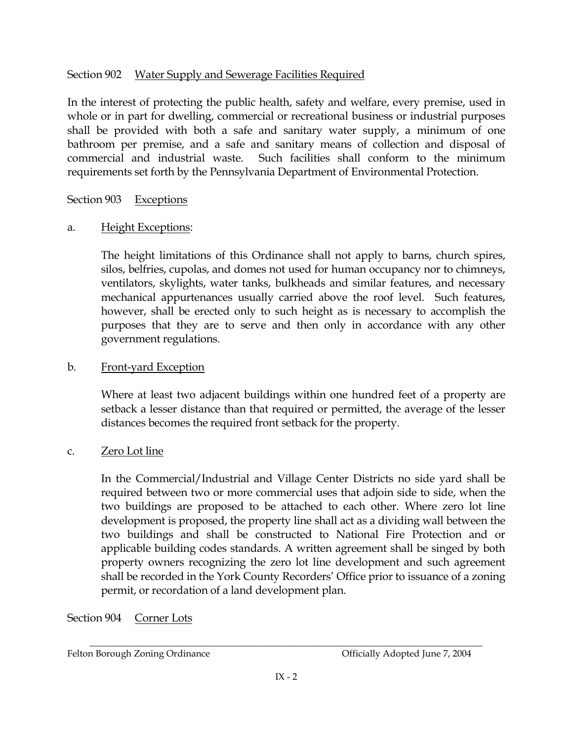#### Section 902 Water Supply and Sewerage Facilities Required

In the interest of protecting the public health, safety and welfare, every premise, used in whole or in part for dwelling, commercial or recreational business or industrial purposes shall be provided with both a safe and sanitary water supply, a minimum of one bathroom per premise, and a safe and sanitary means of collection and disposal of Such facilities shall conform to the minimum commercial and industrial waste. requirements set forth by the Pennsylvania Department of Environmental Protection.

#### Section 903 **Exceptions**

#### Height Exceptions:  $a<sub>r</sub>$

The height limitations of this Ordinance shall not apply to barns, church spires, silos, belfries, cupolas, and domes not used for human occupancy nor to chimneys, ventilators, skylights, water tanks, bulkheads and similar features, and necessary mechanical appurtenances usually carried above the roof level. Such features, however, shall be erected only to such height as is necessary to accomplish the purposes that they are to serve and then only in accordance with any other government regulations.

#### $<sub>b</sub>$ </sub> Front-yard Exception

Where at least two adjacent buildings within one hundred feet of a property are setback a lesser distance than that required or permitted, the average of the lesser distances becomes the required front setback for the property.

#### Zero Lot line  $C<sub>1</sub>$

In the Commercial/Industrial and Village Center Districts no side yard shall be required between two or more commercial uses that adjoin side to side, when the two buildings are proposed to be attached to each other. Where zero lot line development is proposed, the property line shall act as a dividing wall between the two buildings and shall be constructed to National Fire Protection and or applicable building codes standards. A written agreement shall be singed by both property owners recognizing the zero lot line development and such agreement shall be recorded in the York County Recorders' Office prior to issuance of a zoning permit, or recordation of a land development plan.

#### Section 904 Corner Lots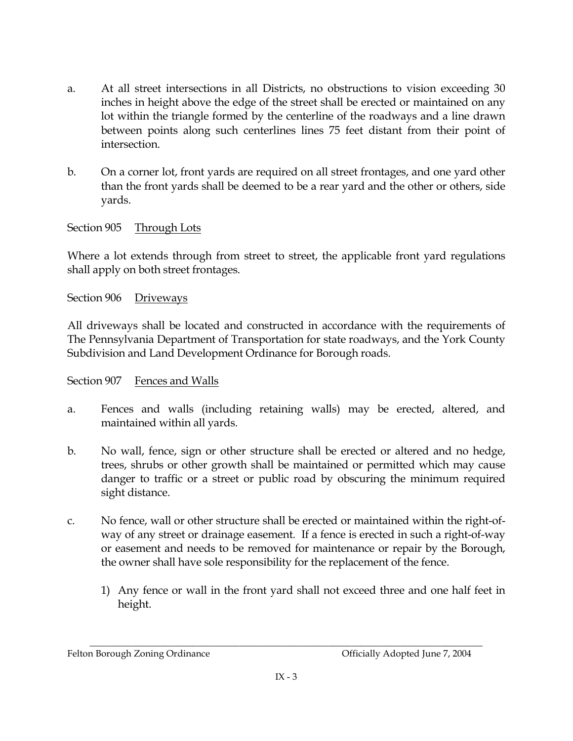- At all street intersections in all Districts, no obstructions to vision exceeding 30 a. inches in height above the edge of the street shall be erected or maintained on any lot within the triangle formed by the centerline of the roadways and a line drawn between points along such centerlines lines 75 feet distant from their point of intersection.
- $\mathbf{b}$ . On a corner lot, front yards are required on all street frontages, and one yard other than the front yards shall be deemed to be a rear yard and the other or others, side yards.

Section 905 Through Lots

Where a lot extends through from street to street, the applicable front yard regulations shall apply on both street frontages.

Section 906 Driveways

All driveways shall be located and constructed in accordance with the requirements of The Pennsylvania Department of Transportation for state roadways, and the York County Subdivision and Land Development Ordinance for Borough roads.

Section 907 Fences and Walls

- Fences and walls (including retaining walls) may be erected, altered, and a. maintained within all yards.
- $\mathbf{b}$ . No wall, fence, sign or other structure shall be erected or altered and no hedge, trees, shrubs or other growth shall be maintained or permitted which may cause danger to traffic or a street or public road by obscuring the minimum required sight distance.
- No fence, wall or other structure shall be erected or maintained within the right-of-C. way of any street or drainage easement. If a fence is erected in such a right-of-way or easement and needs to be removed for maintenance or repair by the Borough, the owner shall have sole responsibility for the replacement of the fence.
	- 1) Any fence or wall in the front yard shall not exceed three and one half feet in height.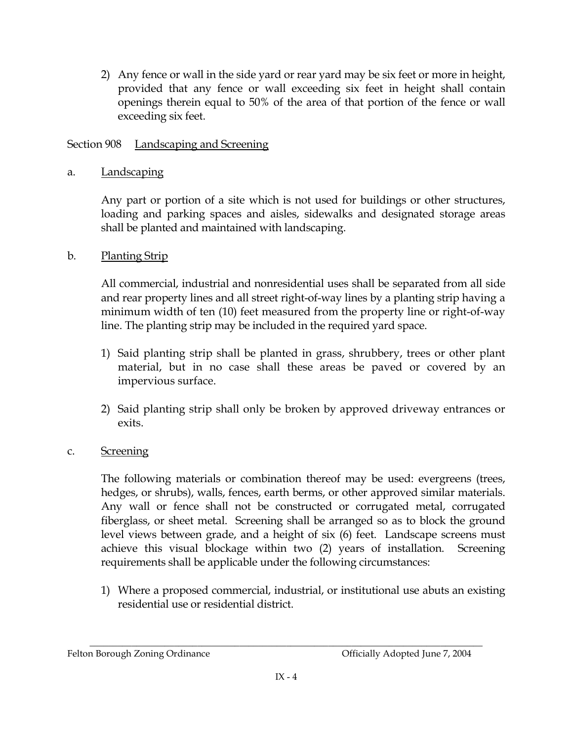2) Any fence or wall in the side yard or rear yard may be six feet or more in height, provided that any fence or wall exceeding six feet in height shall contain openings therein equal to 50% of the area of that portion of the fence or wall exceeding six feet.

### Section 908 Landscaping and Screening

**Landscaping** a.

> Any part or portion of a site which is not used for buildings or other structures, loading and parking spaces and aisles, sidewalks and designated storage areas shall be planted and maintained with landscaping.

#### $\mathbf{b}$ . **Planting Strip**

All commercial, industrial and nonresidential uses shall be separated from all side and rear property lines and all street right-of-way lines by a planting strip having a minimum width of ten (10) feet measured from the property line or right-of-way line. The planting strip may be included in the required yard space.

- 1) Said planting strip shall be planted in grass, shrubbery, trees or other plant material, but in no case shall these areas be paved or covered by an impervious surface.
- 2) Said planting strip shall only be broken by approved driveway entrances or exits.

#### **Screening**  $C_{\bullet}$

The following materials or combination thereof may be used: evergreens (trees, hedges, or shrubs), walls, fences, earth berms, or other approved similar materials. Any wall or fence shall not be constructed or corrugated metal, corrugated fiberglass, or sheet metal. Screening shall be arranged so as to block the ground level views between grade, and a height of six (6) feet. Landscape screens must achieve this visual blockage within two (2) years of installation. Screening requirements shall be applicable under the following circumstances:

1) Where a proposed commercial, industrial, or institutional use abuts an existing residential use or residential district.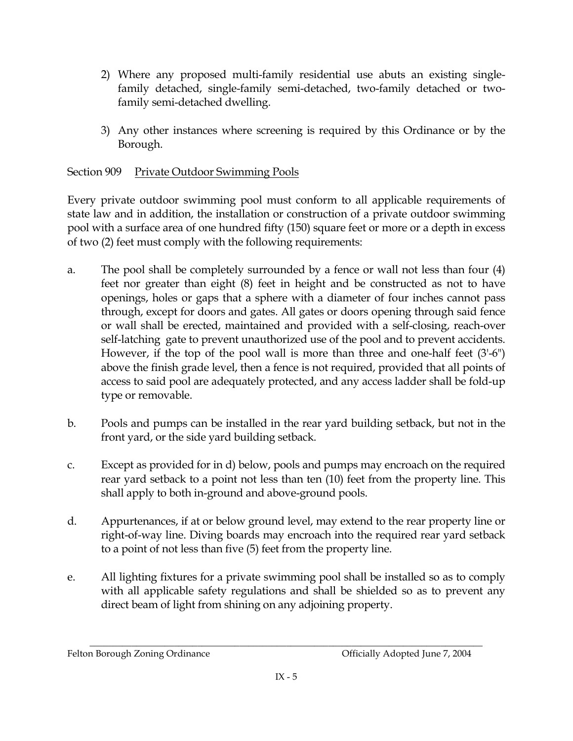- 2) Where any proposed multi-family residential use abuts an existing singlefamily detached, single-family semi-detached, two-family detached or twofamily semi-detached dwelling.
- 3) Any other instances where screening is required by this Ordinance or by the Borough.

### Section 909 **Private Outdoor Swimming Pools**

Every private outdoor swimming pool must conform to all applicable requirements of state law and in addition, the installation or construction of a private outdoor swimming pool with a surface area of one hundred fifty (150) square feet or more or a depth in excess of two (2) feet must comply with the following requirements:

- The pool shall be completely surrounded by a fence or wall not less than four (4) a. feet nor greater than eight (8) feet in height and be constructed as not to have openings, holes or gaps that a sphere with a diameter of four inches cannot pass through, except for doors and gates. All gates or doors opening through said fence or wall shall be erected, maintained and provided with a self-closing, reach-over self-latching gate to prevent unauthorized use of the pool and to prevent accidents. However, if the top of the pool wall is more than three and one-half feet  $(3'-6'')$ above the finish grade level, then a fence is not required, provided that all points of access to said pool are adequately protected, and any access ladder shall be fold-up type or removable.
- $<sub>b</sub>$ </sub> Pools and pumps can be installed in the rear yard building setback, but not in the front yard, or the side yard building setback.
- Except as provided for in d) below, pools and pumps may encroach on the required C. rear yard setback to a point not less than ten (10) feet from the property line. This shall apply to both in-ground and above-ground pools.
- d. Appurtenances, if at or below ground level, may extend to the rear property line or right-of-way line. Diving boards may encroach into the required rear yard setback to a point of not less than five (5) feet from the property line.
- All lighting fixtures for a private swimming pool shall be installed so as to comply e. with all applicable safety regulations and shall be shielded so as to prevent any direct beam of light from shining on any adjoining property.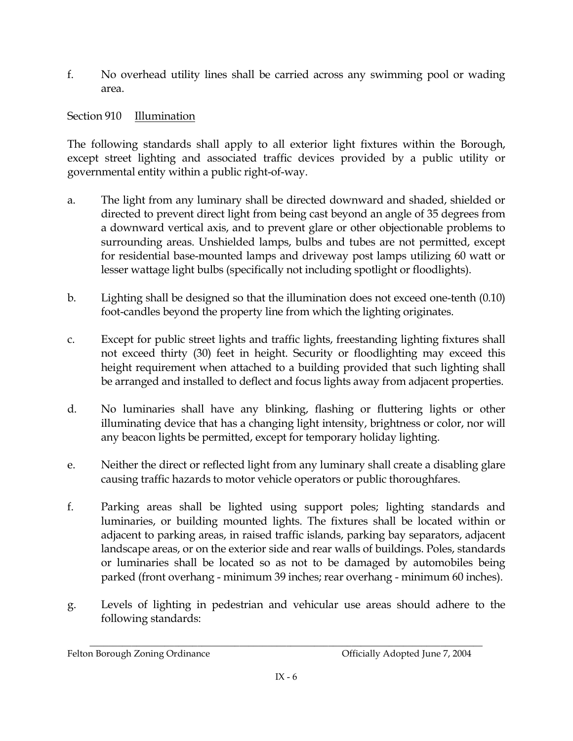$f$ No overhead utility lines shall be carried across any swimming pool or wading area.

Section 910 Illumination

The following standards shall apply to all exterior light fixtures within the Borough, except street lighting and associated traffic devices provided by a public utility or governmental entity within a public right-of-way.

- The light from any luminary shall be directed downward and shaded, shielded or a. directed to prevent direct light from being cast beyond an angle of 35 degrees from a downward vertical axis, and to prevent glare or other objectionable problems to surrounding areas. Unshielded lamps, bulbs and tubes are not permitted, except for residential base-mounted lamps and driveway post lamps utilizing 60 watt or lesser wattage light bulbs (specifically not including spotlight or floodlights).
- b. Lighting shall be designed so that the illumination does not exceed one-tenth (0.10) foot-candles beyond the property line from which the lighting originates.
- Except for public street lights and traffic lights, freestanding lighting fixtures shall C. not exceed thirty (30) feet in height. Security or floodlighting may exceed this height requirement when attached to a building provided that such lighting shall be arranged and installed to deflect and focus lights away from adjacent properties.
- $d_{\cdot}$ No luminaries shall have any blinking, flashing or fluttering lights or other illuminating device that has a changing light intensity, brightness or color, nor will any beacon lights be permitted, except for temporary holiday lighting.
- Neither the direct or reflected light from any luminary shall create a disabling glare e. causing traffic hazards to motor vehicle operators or public thoroughfares.
- f. Parking areas shall be lighted using support poles; lighting standards and luminaries, or building mounted lights. The fixtures shall be located within or adjacent to parking areas, in raised traffic islands, parking bay separators, adjacent landscape areas, or on the exterior side and rear walls of buildings. Poles, standards or luminaries shall be located so as not to be damaged by automobiles being parked (front overhang - minimum 39 inches; rear overhang - minimum 60 inches).
- Levels of lighting in pedestrian and vehicular use areas should adhere to the g. following standards: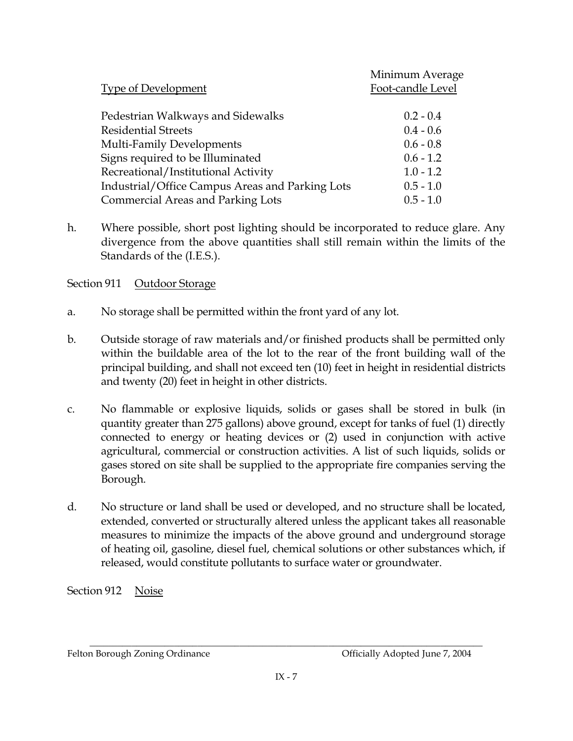|                                                 | Minimum Average   |
|-------------------------------------------------|-------------------|
| <b>Type of Development</b>                      | Foot-candle Level |
|                                                 |                   |
| Pedestrian Walkways and Sidewalks               | $0.2 - 0.4$       |
| <b>Residential Streets</b>                      | $0.4 - 0.6$       |
| Multi-Family Developments                       | $0.6 - 0.8$       |
| Signs required to be Illuminated                | $0.6 - 1.2$       |
| Recreational/Institutional Activity             | $1.0 - 1.2$       |
| Industrial/Office Campus Areas and Parking Lots | $0.5 - 1.0$       |
| <b>Commercial Areas and Parking Lots</b>        | $0.5 - 1.0$       |

h. Where possible, short post lighting should be incorporated to reduce glare. Any divergence from the above quantities shall still remain within the limits of the Standards of the (I.E.S.).

Section 911 Outdoor Storage

- $a<sub>1</sub>$ No storage shall be permitted within the front yard of any lot.
- $\mathbf{b}$ . Outside storage of raw materials and/or finished products shall be permitted only within the buildable area of the lot to the rear of the front building wall of the principal building, and shall not exceed ten (10) feet in height in residential districts and twenty (20) feet in height in other districts.
- No flammable or explosive liquids, solids or gases shall be stored in bulk (in  $C<sub>1</sub>$ quantity greater than 275 gallons) above ground, except for tanks of fuel (1) directly connected to energy or heating devices or (2) used in conjunction with active agricultural, commercial or construction activities. A list of such liquids, solids or gases stored on site shall be supplied to the appropriate fire companies serving the Borough.
- $d.$ No structure or land shall be used or developed, and no structure shall be located, extended, converted or structurally altered unless the applicant takes all reasonable measures to minimize the impacts of the above ground and underground storage of heating oil, gasoline, diesel fuel, chemical solutions or other substances which, if released, would constitute pollutants to surface water or groundwater.

Section 912 Noise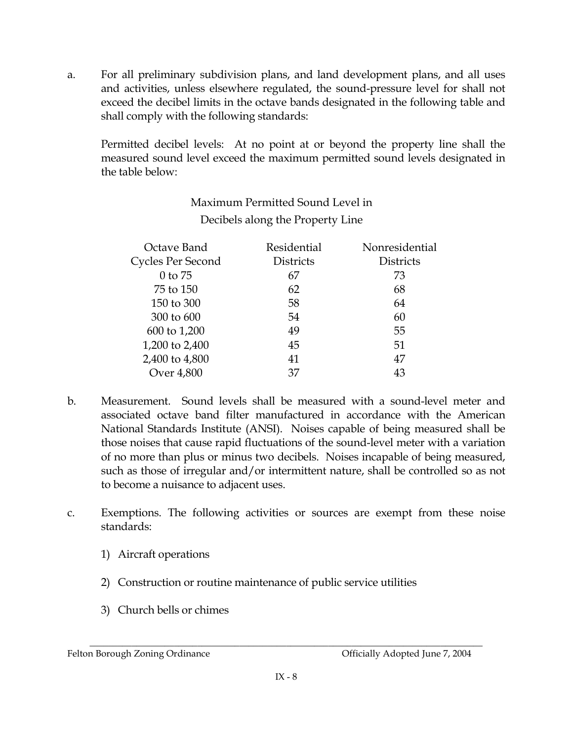For all preliminary subdivision plans, and land development plans, and all uses  $a<sub>r</sub>$ and activities, unless elsewhere regulated, the sound-pressure level for shall not exceed the decibel limits in the octave bands designated in the following table and shall comply with the following standards:

Permitted decibel levels: At no point at or beyond the property line shall the measured sound level exceed the maximum permitted sound levels designated in the table below:

|                                  | Maximum Permitted Sound Level in |                |
|----------------------------------|----------------------------------|----------------|
| Decibels along the Property Line |                                  |                |
| Octave Band                      | Residential                      | Nonresidential |
| Cycles Per Second                | <b>Districts</b>                 | Districts      |
| $0$ to $75$                      | 67                               | 73             |
| 75 to 150                        | 62                               | 68             |
| 150 to 300                       | 58                               | 64             |
| 300 to 600                       | 54                               | 60             |
| 600 to 1,200                     | 49                               | 55             |
| 1,200 to 2,400                   | 45                               | 51             |
| 2,400 to 4,800                   | 41                               | 47             |
| Over 4,800                       | 37                               | 43             |

- Measurement. Sound levels shall be measured with a sound-level meter and b. associated octave band filter manufactured in accordance with the American National Standards Institute (ANSI). Noises capable of being measured shall be those noises that cause rapid fluctuations of the sound-level meter with a variation of no more than plus or minus two decibels. Noises incapable of being measured, such as those of irregular and/or intermittent nature, shall be controlled so as not to become a nuisance to adjacent uses.
- Exemptions. The following activities or sources are exempt from these noise C. standards:
	- 1) Aircraft operations
	- 2) Construction or routine maintenance of public service utilities
	- 3) Church bells or chimes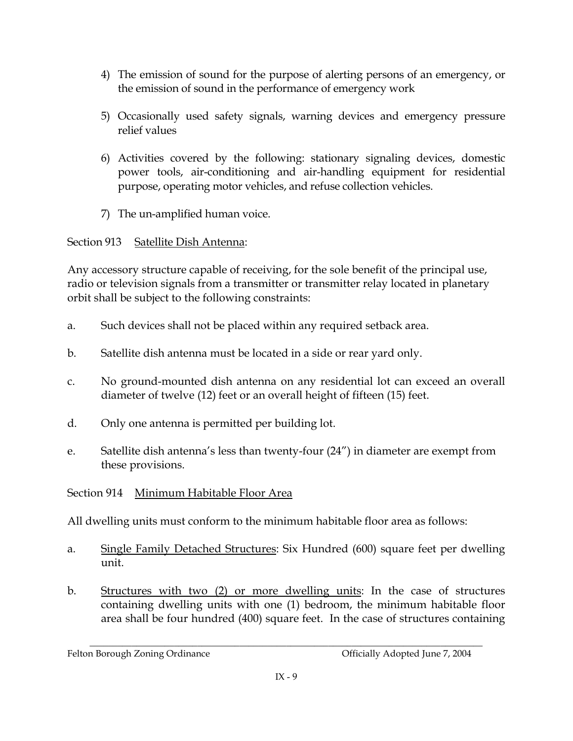- 4) The emission of sound for the purpose of alerting persons of an emergency, or the emission of sound in the performance of emergency work
- 5) Occasionally used safety signals, warning devices and emergency pressure relief values
- 6) Activities covered by the following: stationary signaling devices, domestic power tools, air-conditioning and air-handling equipment for residential purpose, operating motor vehicles, and refuse collection vehicles.
- 7) The un-amplified human voice.

### Section 913 Satellite Dish Antenna:

Any accessory structure capable of receiving, for the sole benefit of the principal use, radio or television signals from a transmitter or transmitter relay located in planetary orbit shall be subject to the following constraints:

- Such devices shall not be placed within any required setback area.  $a<sub>1</sub>$
- $\mathbf{b}$ . Satellite dish antenna must be located in a side or rear yard only.
- No ground-mounted dish antenna on any residential lot can exceed an overall C. diameter of twelve (12) feet or an overall height of fifteen (15) feet.
- $d_{\cdot}$ Only one antenna is permitted per building lot.
- Satellite dish antenna's less than twenty-four (24") in diameter are exempt from e. these provisions.

## Section 914 Minimum Habitable Floor Area

All dwelling units must conform to the minimum habitable floor area as follows:

- Single Family Detached Structures: Six Hundred (600) square feet per dwelling  $\mathbf{a}$ unit.
- $h_{-}$ Structures with two (2) or more dwelling units: In the case of structures containing dwelling units with one (1) bedroom, the minimum habitable floor area shall be four hundred (400) square feet. In the case of structures containing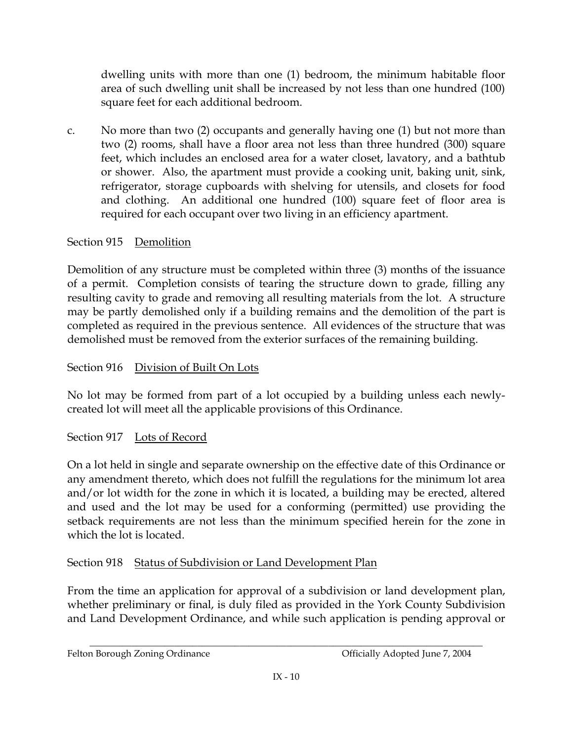dwelling units with more than one (1) bedroom, the minimum habitable floor area of such dwelling unit shall be increased by not less than one hundred (100) square feet for each additional bedroom.

No more than two (2) occupants and generally having one (1) but not more than  $C<sub>1</sub>$ two (2) rooms, shall have a floor area not less than three hundred (300) square feet, which includes an enclosed area for a water closet, lavatory, and a bathtub or shower. Also, the apartment must provide a cooking unit, baking unit, sink, refrigerator, storage cupboards with shelving for utensils, and closets for food and clothing. An additional one hundred (100) square feet of floor area is required for each occupant over two living in an efficiency apartment.

## Section 915 Demolition

Demolition of any structure must be completed within three (3) months of the issuance of a permit. Completion consists of tearing the structure down to grade, filling any resulting cavity to grade and removing all resulting materials from the lot. A structure may be partly demolished only if a building remains and the demolition of the part is completed as required in the previous sentence. All evidences of the structure that was demolished must be removed from the exterior surfaces of the remaining building.

### Section 916 Division of Built On Lots

No lot may be formed from part of a lot occupied by a building unless each newlycreated lot will meet all the applicable provisions of this Ordinance.

## Section 917 Lots of Record

On a lot held in single and separate ownership on the effective date of this Ordinance or any amendment thereto, which does not fulfill the regulations for the minimum lot area and/or lot width for the zone in which it is located, a building may be erected, altered and used and the lot may be used for a conforming (permitted) use providing the setback requirements are not less than the minimum specified herein for the zone in which the lot is located.

## Section 918 Status of Subdivision or Land Development Plan

From the time an application for approval of a subdivision or land development plan, whether preliminary or final, is duly filed as provided in the York County Subdivision and Land Development Ordinance, and while such application is pending approval or